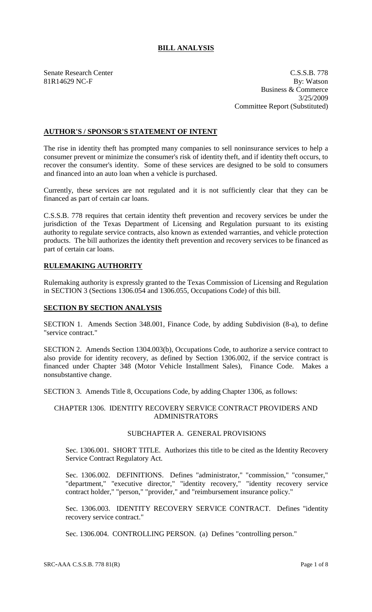## **BILL ANALYSIS**

Senate Research Center C.S.S.B. 778 81R14629 NC-F By: Watson Business & Commerce 3/25/2009 Committee Report (Substituted)

## **AUTHOR'S / SPONSOR'S STATEMENT OF INTENT**

The rise in identity theft has prompted many companies to sell noninsurance services to help a consumer prevent or minimize the consumer's risk of identity theft, and if identity theft occurs, to recover the consumer's identity. Some of these services are designed to be sold to consumers and financed into an auto loan when a vehicle is purchased.

Currently, these services are not regulated and it is not sufficiently clear that they can be financed as part of certain car loans.

C.S.S.B. 778 requires that certain identity theft prevention and recovery services be under the jurisdiction of the Texas Department of Licensing and Regulation pursuant to its existing authority to regulate service contracts, also known as extended warranties, and vehicle protection products. The bill authorizes the identity theft prevention and recovery services to be financed as part of certain car loans.

# **RULEMAKING AUTHORITY**

Rulemaking authority is expressly granted to the Texas Commission of Licensing and Regulation in SECTION 3 (Sections 1306.054 and 1306.055, Occupations Code) of this bill.

#### **SECTION BY SECTION ANALYSIS**

SECTION 1. Amends Section 348.001, Finance Code, by adding Subdivision (8-a), to define "service contract."

SECTION 2. Amends Section 1304.003(b), Occupations Code, to authorize a service contract to also provide for identity recovery, as defined by Section 1306.002, if the service contract is financed under Chapter 348 (Motor Vehicle Installment Sales), Finance Code. Makes a nonsubstantive change.

SECTION 3. Amends Title 8, Occupations Code, by adding Chapter 1306, as follows:

#### CHAPTER 1306. IDENTITY RECOVERY SERVICE CONTRACT PROVIDERS AND ADMINISTRATORS

# SUBCHAPTER A. GENERAL PROVISIONS

Sec. 1306.001. SHORT TITLE. Authorizes this title to be cited as the Identity Recovery Service Contract Regulatory Act.

Sec. 1306.002. DEFINITIONS. Defines "administrator," "commission," "consumer," "department," "executive director," "identity recovery," "identity recovery service contract holder," "person," "provider," and "reimbursement insurance policy."

Sec. 1306.003. IDENTITY RECOVERY SERVICE CONTRACT. Defines "identity recovery service contract."

Sec. 1306.004. CONTROLLING PERSON. (a) Defines "controlling person."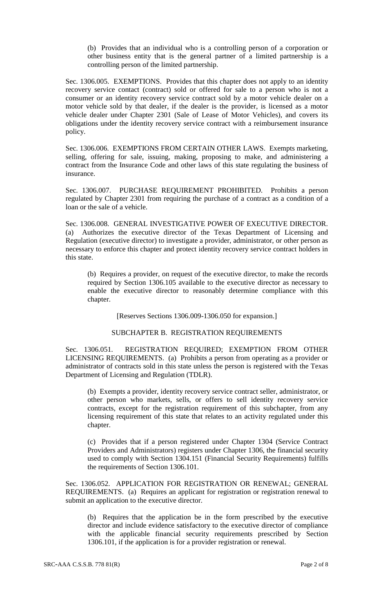(b) Provides that an individual who is a controlling person of a corporation or other business entity that is the general partner of a limited partnership is a controlling person of the limited partnership.

Sec. 1306.005. EXEMPTIONS. Provides that this chapter does not apply to an identity recovery service contact (contract) sold or offered for sale to a person who is not a consumer or an identity recovery service contract sold by a motor vehicle dealer on a motor vehicle sold by that dealer, if the dealer is the provider, is licensed as a motor vehicle dealer under Chapter 2301 (Sale of Lease of Motor Vehicles), and covers its obligations under the identity recovery service contract with a reimbursement insurance policy.

Sec. 1306.006. EXEMPTIONS FROM CERTAIN OTHER LAWS. Exempts marketing, selling, offering for sale, issuing, making, proposing to make, and administering a contract from the Insurance Code and other laws of this state regulating the business of insurance.

Sec. 1306.007. PURCHASE REQUIREMENT PROHIBITED. Prohibits a person regulated by Chapter 2301 from requiring the purchase of a contract as a condition of a loan or the sale of a vehicle.

Sec. 1306.008. GENERAL INVESTIGATIVE POWER OF EXECUTIVE DIRECTOR. (a) Authorizes the executive director of the Texas Department of Licensing and Regulation (executive director) to investigate a provider, administrator, or other person as necessary to enforce this chapter and protect identity recovery service contract holders in this state.

(b) Requires a provider, on request of the executive director, to make the records required by Section 1306.105 available to the executive director as necessary to enable the executive director to reasonably determine compliance with this chapter.

[Reserves Sections 1306.009-1306.050 for expansion.]

## SUBCHAPTER B. REGISTRATION REQUIREMENTS

Sec. 1306.051. REGISTRATION REQUIRED; EXEMPTION FROM OTHER LICENSING REQUIREMENTS. (a) Prohibits a person from operating as a provider or administrator of contracts sold in this state unless the person is registered with the Texas Department of Licensing and Regulation (TDLR).

(b) Exempts a provider, identity recovery service contract seller, administrator, or other person who markets, sells, or offers to sell identity recovery service contracts, except for the registration requirement of this subchapter, from any licensing requirement of this state that relates to an activity regulated under this chapter.

(c) Provides that if a person registered under Chapter 1304 (Service Contract Providers and Administrators) registers under Chapter 1306, the financial security used to comply with Section 1304.151 (Financial Security Requirements) fulfills the requirements of Section 1306.101.

Sec. 1306.052. APPLICATION FOR REGISTRATION OR RENEWAL; GENERAL REQUIREMENTS. (a) Requires an applicant for registration or registration renewal to submit an application to the executive director.

(b) Requires that the application be in the form prescribed by the executive director and include evidence satisfactory to the executive director of compliance with the applicable financial security requirements prescribed by Section 1306.101, if the application is for a provider registration or renewal.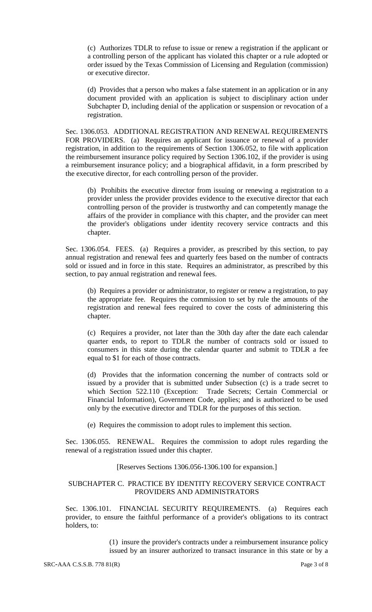(c) Authorizes TDLR to refuse to issue or renew a registration if the applicant or a controlling person of the applicant has violated this chapter or a rule adopted or order issued by the Texas Commission of Licensing and Regulation (commission) or executive director.

(d) Provides that a person who makes a false statement in an application or in any document provided with an application is subject to disciplinary action under Subchapter D, including denial of the application or suspension or revocation of a registration.

Sec. 1306.053. ADDITIONAL REGISTRATION AND RENEWAL REQUIREMENTS FOR PROVIDERS. (a) Requires an applicant for issuance or renewal of a provider registration, in addition to the requirements of Section 1306.052, to file with application the reimbursement insurance policy required by Section 1306.102, if the provider is using a reimbursement insurance policy; and a biographical affidavit, in a form prescribed by the executive director, for each controlling person of the provider.

(b) Prohibits the executive director from issuing or renewing a registration to a provider unless the provider provides evidence to the executive director that each controlling person of the provider is trustworthy and can competently manage the affairs of the provider in compliance with this chapter, and the provider can meet the provider's obligations under identity recovery service contracts and this chapter.

Sec. 1306.054. FEES. (a) Requires a provider, as prescribed by this section, to pay annual registration and renewal fees and quarterly fees based on the number of contracts sold or issued and in force in this state. Requires an administrator, as prescribed by this section, to pay annual registration and renewal fees.

(b) Requires a provider or administrator, to register or renew a registration, to pay the appropriate fee. Requires the commission to set by rule the amounts of the registration and renewal fees required to cover the costs of administering this chapter.

(c) Requires a provider, not later than the 30th day after the date each calendar quarter ends, to report to TDLR the number of contracts sold or issued to consumers in this state during the calendar quarter and submit to TDLR a fee equal to \$1 for each of those contracts.

(d) Provides that the information concerning the number of contracts sold or issued by a provider that is submitted under Subsection (c) is a trade secret to which Section 522.110 (Exception: Trade Secrets; Certain Commercial or Financial Information), Government Code, applies; and is authorized to be used only by the executive director and TDLR for the purposes of this section.

(e) Requires the commission to adopt rules to implement this section.

Sec. 1306.055. RENEWAL. Requires the commission to adopt rules regarding the renewal of a registration issued under this chapter.

[Reserves Sections 1306.056-1306.100 for expansion.]

## SUBCHAPTER C. PRACTICE BY IDENTITY RECOVERY SERVICE CONTRACT PROVIDERS AND ADMINISTRATORS

Sec. 1306.101. FINANCIAL SECURITY REQUIREMENTS. (a) Requires each provider, to ensure the faithful performance of a provider's obligations to its contract holders, to:

> (1) insure the provider's contracts under a reimbursement insurance policy issued by an insurer authorized to transact insurance in this state or by a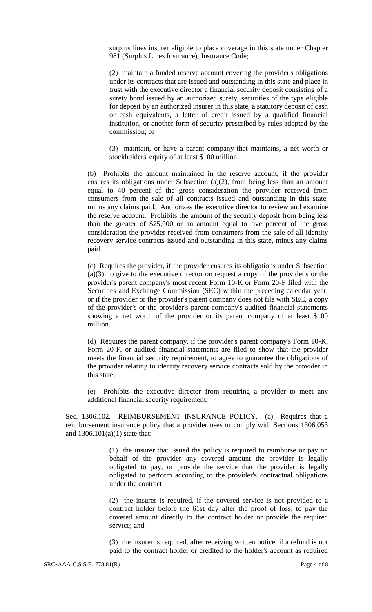surplus lines insurer eligible to place coverage in this state under Chapter 981 (Surplus Lines Insurance), Insurance Code;

(2) maintain a funded reserve account covering the provider's obligations under its contracts that are issued and outstanding in this state and place in trust with the executive director a financial security deposit consisting of a surety bond issued by an authorized surety, securities of the type eligible for deposit by an authorized insurer in this state, a statutory deposit of cash or cash equivalents, a letter of credit issued by a qualified financial institution, or another form of security prescribed by rules adopted by the commission; or

(3) maintain, or have a parent company that maintains, a net worth or stockholders' equity of at least \$100 million.

(b) Prohibits the amount maintained in the reserve account, if the provider ensures its obligations under Subsection (a)(2), from being less than an amount equal to 40 percent of the gross consideration the provider received from consumers from the sale of all contracts issued and outstanding in this state, minus any claims paid. Authorizes the executive director to review and examine the reserve account. Prohibits the amount of the security deposit from being less than the greater of \$25,000 or an amount equal to five percent of the gross consideration the provider received from consumers from the sale of all identity recovery service contracts issued and outstanding in this state, minus any claims paid.

(c) Requires the provider, if the provider ensures its obligations under Subsection (a)(3), to give to the executive director on request a copy of the provider's or the provider's parent company's most recent Form 10-K or Form 20-F filed with the Securities and Exchange Commission (SEC) within the preceding calendar year, or if the provider or the provider's parent company does not file with SEC, a copy of the provider's or the provider's parent company's audited financial statements showing a net worth of the provider or its parent company of at least \$100 million.

(d) Requires the parent company, if the provider's parent company's Form 10-K, Form 20-F, or audited financial statements are filed to show that the provider meets the financial security requirement, to agree to guarantee the obligations of the provider relating to identity recovery service contracts sold by the provider in this state.

(e) Prohibits the executive director from requiring a provider to meet any additional financial security requirement.

Sec. 1306.102. REIMBURSEMENT INSURANCE POLICY. (a) Requires that a reimbursement insurance policy that a provider uses to comply with Sections 1306.053 and  $1306.101(a)(1)$  state that:

> (1) the insurer that issued the policy is required to reimburse or pay on behalf of the provider any covered amount the provider is legally obligated to pay, or provide the service that the provider is legally obligated to perform according to the provider's contractual obligations under the contract;

> (2) the insurer is required, if the covered service is not provided to a contract holder before the 61st day after the proof of loss, to pay the covered amount directly to the contract holder or provide the required service; and

> (3) the insurer is required, after receiving written notice, if a refund is not paid to the contract holder or credited to the holder's account as required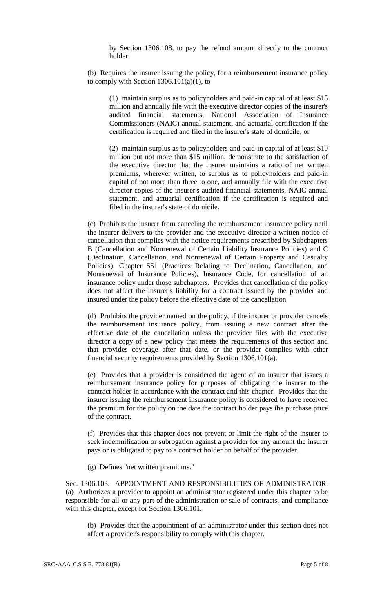by Section 1306.108, to pay the refund amount directly to the contract holder.

(b) Requires the insurer issuing the policy, for a reimbursement insurance policy to comply with Section  $1306.101(a)(1)$ , to

(1) maintain surplus as to policyholders and paid-in capital of at least \$15 million and annually file with the executive director copies of the insurer's audited financial statements, National Association of Insurance Commissioners (NAIC) annual statement, and actuarial certification if the certification is required and filed in the insurer's state of domicile; or

(2) maintain surplus as to policyholders and paid-in capital of at least \$10 million but not more than \$15 million, demonstrate to the satisfaction of the executive director that the insurer maintains a ratio of net written premiums, wherever written, to surplus as to policyholders and paid-in capital of not more than three to one, and annually file with the executive director copies of the insurer's audited financial statements, NAIC annual statement, and actuarial certification if the certification is required and filed in the insurer's state of domicile.

(c) Prohibits the insurer from canceling the reimbursement insurance policy until the insurer delivers to the provider and the executive director a written notice of cancellation that complies with the notice requirements prescribed by Subchapters B (Cancellation and Nonrenewal of Certain Liability Insurance Policies) and C (Declination, Cancellation, and Nonrenewal of Certain Property and Casualty Policies), Chapter 551 (Practices Relating to Declination, Cancellation, and Nonrenewal of Insurance Policies), Insurance Code, for cancellation of an insurance policy under those subchapters. Provides that cancellation of the policy does not affect the insurer's liability for a contract issued by the provider and insured under the policy before the effective date of the cancellation.

(d) Prohibits the provider named on the policy, if the insurer or provider cancels the reimbursement insurance policy, from issuing a new contract after the effective date of the cancellation unless the provider files with the executive director a copy of a new policy that meets the requirements of this section and that provides coverage after that date, or the provider complies with other financial security requirements provided by Section 1306.101(a).

(e) Provides that a provider is considered the agent of an insurer that issues a reimbursement insurance policy for purposes of obligating the insurer to the contract holder in accordance with the contract and this chapter. Provides that the insurer issuing the reimbursement insurance policy is considered to have received the premium for the policy on the date the contract holder pays the purchase price of the contract.

(f) Provides that this chapter does not prevent or limit the right of the insurer to seek indemnification or subrogation against a provider for any amount the insurer pays or is obligated to pay to a contract holder on behalf of the provider.

(g) Defines "net written premiums."

Sec. 1306.103. APPOINTMENT AND RESPONSIBILITIES OF ADMINISTRATOR. (a) Authorizes a provider to appoint an administrator registered under this chapter to be responsible for all or any part of the administration or sale of contracts, and compliance with this chapter, except for Section 1306.101.

(b) Provides that the appointment of an administrator under this section does not affect a provider's responsibility to comply with this chapter.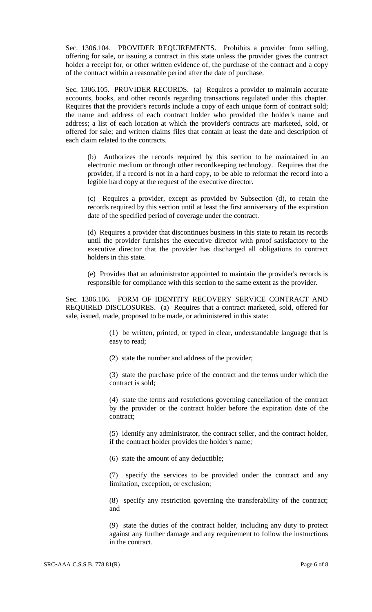Sec. 1306.104. PROVIDER REQUIREMENTS. Prohibits a provider from selling, offering for sale, or issuing a contract in this state unless the provider gives the contract holder a receipt for, or other written evidence of, the purchase of the contract and a copy of the contract within a reasonable period after the date of purchase.

Sec. 1306.105. PROVIDER RECORDS. (a) Requires a provider to maintain accurate accounts, books, and other records regarding transactions regulated under this chapter. Requires that the provider's records include a copy of each unique form of contract sold; the name and address of each contract holder who provided the holder's name and address; a list of each location at which the provider's contracts are marketed, sold, or offered for sale; and written claims files that contain at least the date and description of each claim related to the contracts.

(b) Authorizes the records required by this section to be maintained in an electronic medium or through other recordkeeping technology. Requires that the provider, if a record is not in a hard copy, to be able to reformat the record into a legible hard copy at the request of the executive director.

(c) Requires a provider, except as provided by Subsection (d), to retain the records required by this section until at least the first anniversary of the expiration date of the specified period of coverage under the contract.

(d) Requires a provider that discontinues business in this state to retain its records until the provider furnishes the executive director with proof satisfactory to the executive director that the provider has discharged all obligations to contract holders in this state.

(e) Provides that an administrator appointed to maintain the provider's records is responsible for compliance with this section to the same extent as the provider.

Sec. 1306.106. FORM OF IDENTITY RECOVERY SERVICE CONTRACT AND REQUIRED DISCLOSURES. (a) Requires that a contract marketed, sold, offered for sale, issued, made, proposed to be made, or administered in this state:

> (1) be written, printed, or typed in clear, understandable language that is easy to read;

(2) state the number and address of the provider;

(3) state the purchase price of the contract and the terms under which the contract is sold;

(4) state the terms and restrictions governing cancellation of the contract by the provider or the contract holder before the expiration date of the contract;

(5) identify any administrator, the contract seller, and the contract holder, if the contract holder provides the holder's name;

(6) state the amount of any deductible;

(7) specify the services to be provided under the contract and any limitation, exception, or exclusion;

(8) specify any restriction governing the transferability of the contract; and

(9) state the duties of the contract holder, including any duty to protect against any further damage and any requirement to follow the instructions in the contract.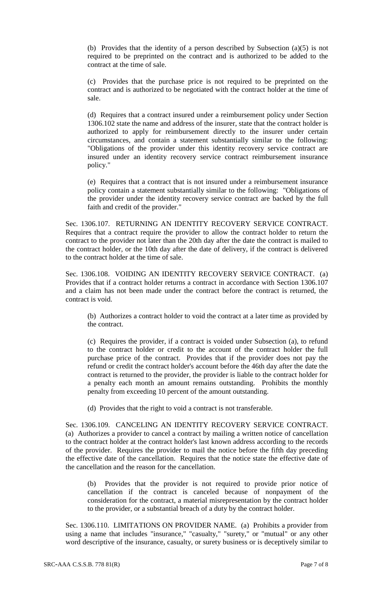(b) Provides that the identity of a person described by Subsection (a)(5) is not required to be preprinted on the contract and is authorized to be added to the contract at the time of sale.

(c) Provides that the purchase price is not required to be preprinted on the contract and is authorized to be negotiated with the contract holder at the time of sale.

(d) Requires that a contract insured under a reimbursement policy under Section 1306.102 state the name and address of the insurer, state that the contract holder is authorized to apply for reimbursement directly to the insurer under certain circumstances, and contain a statement substantially similar to the following: "Obligations of the provider under this identity recovery service contract are insured under an identity recovery service contract reimbursement insurance policy."

(e) Requires that a contract that is not insured under a reimbursement insurance policy contain a statement substantially similar to the following: "Obligations of the provider under the identity recovery service contract are backed by the full faith and credit of the provider."

Sec. 1306.107. RETURNING AN IDENTITY RECOVERY SERVICE CONTRACT. Requires that a contract require the provider to allow the contract holder to return the contract to the provider not later than the 20th day after the date the contract is mailed to the contract holder, or the 10th day after the date of delivery, if the contract is delivered to the contract holder at the time of sale.

Sec. 1306.108. VOIDING AN IDENTITY RECOVERY SERVICE CONTRACT. (a) Provides that if a contract holder returns a contract in accordance with Section 1306.107 and a claim has not been made under the contract before the contract is returned, the contract is void.

(b) Authorizes a contract holder to void the contract at a later time as provided by the contract.

(c) Requires the provider, if a contract is voided under Subsection (a), to refund to the contract holder or credit to the account of the contract holder the full purchase price of the contract. Provides that if the provider does not pay the refund or credit the contract holder's account before the 46th day after the date the contract is returned to the provider, the provider is liable to the contract holder for a penalty each month an amount remains outstanding. Prohibits the monthly penalty from exceeding 10 percent of the amount outstanding.

(d) Provides that the right to void a contract is not transferable.

Sec. 1306.109. CANCELING AN IDENTITY RECOVERY SERVICE CONTRACT. (a) Authorizes a provider to cancel a contract by mailing a written notice of cancellation to the contract holder at the contract holder's last known address according to the records of the provider. Requires the provider to mail the notice before the fifth day preceding the effective date of the cancellation. Requires that the notice state the effective date of the cancellation and the reason for the cancellation.

(b) Provides that the provider is not required to provide prior notice of cancellation if the contract is canceled because of nonpayment of the consideration for the contract, a material misrepresentation by the contract holder to the provider, or a substantial breach of a duty by the contract holder.

Sec. 1306.110. LIMITATIONS ON PROVIDER NAME. (a) Prohibits a provider from using a name that includes "insurance," "casualty," "surety," or "mutual" or any other word descriptive of the insurance, casualty, or surety business or is deceptively similar to